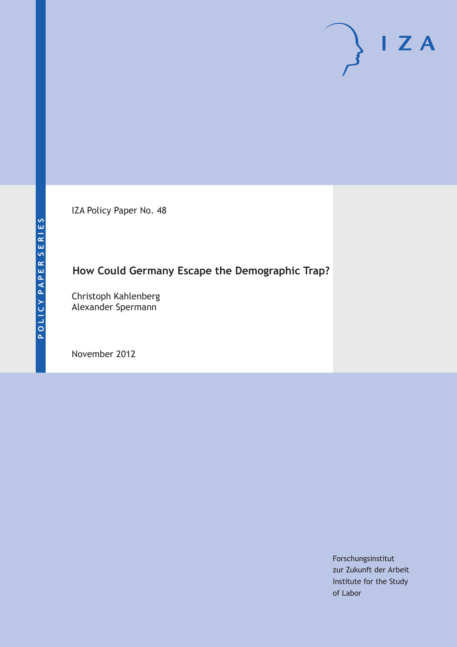IZA Policy Paper No. 48

# **How Could Germany Escape the Demographic Trap?**

Christoph Kahlenberg Alexander Spermann

November 2012

Forschungsinstitut zur Zukunft der Arbeit Institute for the Study of Labor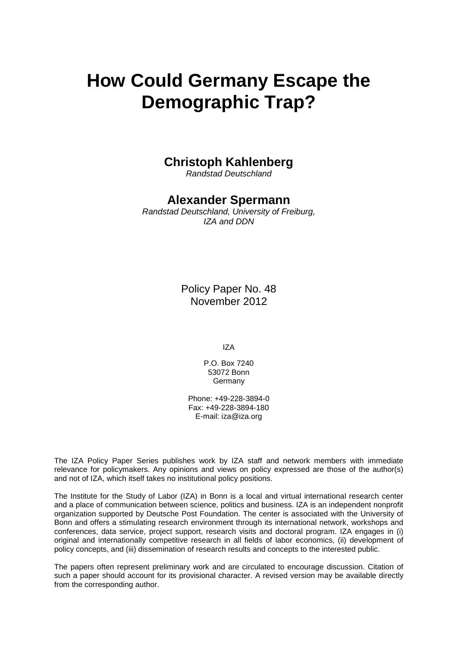# **How Could Germany Escape the Demographic Trap?**

# **Christoph Kahlenberg**

*Randstad Deutschland*

# **Alexander Spermann**

*Randstad Deutschland, University of Freiburg, IZA and DDN*

> Policy Paper No. 48 November 2012

> > IZA

P.O. Box 7240 53072 Bonn Germany

Phone: +49-228-3894-0 Fax: +49-228-3894-180 E-mail: [iza@iza.org](mailto:iza@iza.org)

The IZA Policy Paper Series publishes work by IZA staff and network members with immediate relevance for policymakers. Any opinions and views on policy expressed are those of the author(s) and not of IZA, which itself takes no institutional policy positions.

The Institute for the Study of Labor (IZA) in Bonn is a local and virtual international research center and a place of communication between science, politics and business. IZA is an independent nonprofit organization supported by Deutsche Post Foundation. The center is associated with the University of Bonn and offers a stimulating research environment through its international network, workshops and conferences, data service, project support, research visits and doctoral program. IZA engages in (i) original and internationally competitive research in all fields of labor economics, (ii) development of policy concepts, and (iii) dissemination of research results and concepts to the interested public.

The papers often represent preliminary work and are circulated to encourage discussion. Citation of such a paper should account for its provisional character. A revised version may be available directly from the corresponding author.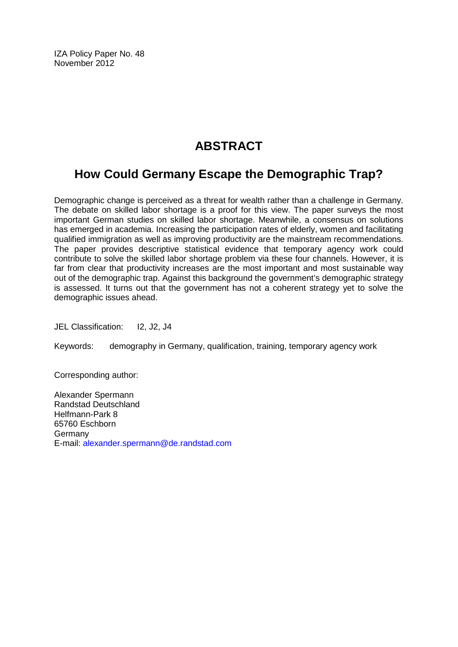IZA Policy Paper No. 48 November 2012

# **ABSTRACT**

# **How Could Germany Escape the Demographic Trap?**

Demographic change is perceived as a threat for wealth rather than a challenge in Germany. The debate on skilled labor shortage is a proof for this view. The paper surveys the most important German studies on skilled labor shortage. Meanwhile, a consensus on solutions has emerged in academia. Increasing the participation rates of elderly, women and facilitating qualified immigration as well as improving productivity are the mainstream recommendations. The paper provides descriptive statistical evidence that temporary agency work could contribute to solve the skilled labor shortage problem via these four channels. However, it is far from clear that productivity increases are the most important and most sustainable way out of the demographic trap. Against this background the government's demographic strategy is assessed. It turns out that the government has not a coherent strategy yet to solve the demographic issues ahead.

JEL Classification: I2, J2, J4

Keywords: demography in Germany, qualification, training, temporary agency work

Corresponding author:

Alexander Spermann Randstad Deutschland Helfmann-Park 8 65760 Eschborn Germany E-mail: [alexander.spermann@de.randstad.com](mailto:alexander.spermann@de.randstad.com)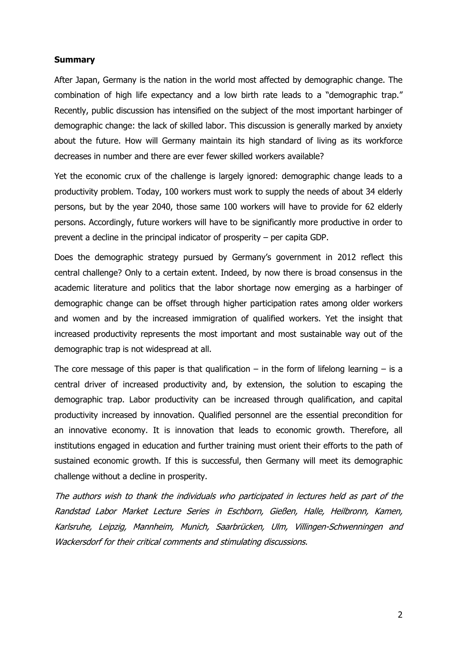#### **Summary**

After Japan, Germany is the nation in the world most affected by demographic change. The combination of high life expectancy and a low birth rate leads to a "demographic trap." Recently, public discussion has intensified on the subject of the most important harbinger of demographic change: the lack of skilled labor. This discussion is generally marked by anxiety about the future. How will Germany maintain its high standard of living as its workforce decreases in number and there are ever fewer skilled workers available?

Yet the economic crux of the challenge is largely ignored: demographic change leads to a productivity problem. Today, 100 workers must work to supply the needs of about 34 elderly persons, but by the year 2040, those same 100 workers will have to provide for 62 elderly persons. Accordingly, future workers will have to be significantly more productive in order to prevent a decline in the principal indicator of prosperity – per capita GDP.

Does the demographic strategy pursued by Germany's government in 2012 reflect this central challenge? Only to a certain extent. Indeed, by now there is broad consensus in the academic literature and politics that the labor shortage now emerging as a harbinger of demographic change can be offset through higher participation rates among older workers and women and by the increased immigration of qualified workers. Yet the insight that increased productivity represents the most important and most sustainable way out of the demographic trap is not widespread at all.

The core message of this paper is that qualification – in the form of lifelong learning – is a central driver of increased productivity and, by extension, the solution to escaping the demographic trap. Labor productivity can be increased through qualification, and capital productivity increased by innovation. Qualified personnel are the essential precondition for an innovative economy. It is innovation that leads to economic growth. Therefore, all institutions engaged in education and further training must orient their efforts to the path of sustained economic growth. If this is successful, then Germany will meet its demographic challenge without a decline in prosperity.

The authors wish to thank the individuals who participated in lectures held as part of the Randstad Labor Market Lecture Series in Eschborn, Gießen, Halle, Heilbronn, Kamen, Karlsruhe, Leipzig, Mannheim, Munich, Saarbrücken, Ulm, Villingen-Schwenningen and Wackersdorf for their critical comments and stimulating discussions.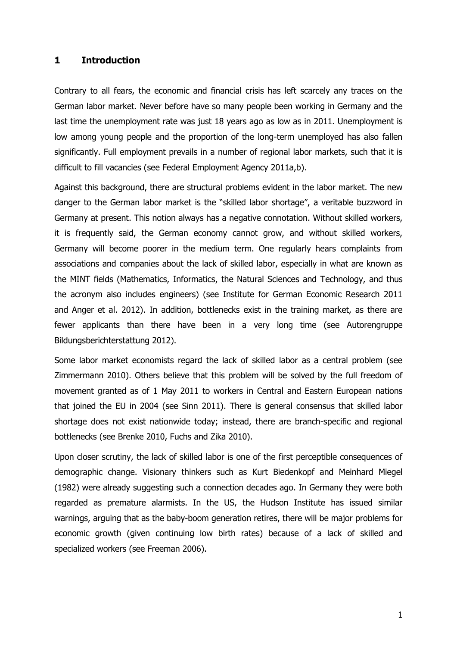#### **1 Introduction**

Contrary to all fears, the economic and financial crisis has left scarcely any traces on the German labor market. Never before have so many people been working in Germany and the last time the unemployment rate was just 18 years ago as low as in 2011. Unemployment is low among young people and the proportion of the long-term unemployed has also fallen significantly. Full employment prevails in a number of regional labor markets, such that it is difficult to fill vacancies (see Federal Employment Agency 2011a,b).

Against this background, there are structural problems evident in the labor market. The new danger to the German labor market is the "skilled labor shortage", a veritable buzzword in Germany at present. This notion always has a negative connotation. Without skilled workers, it is frequently said, the German economy cannot grow, and without skilled workers, Germany will become poorer in the medium term. One regularly hears complaints from associations and companies about the lack of skilled labor, especially in what are known as the MINT fields (Mathematics, Informatics, the Natural Sciences and Technology, and thus the acronym also includes engineers) (see Institute for German Economic Research 2011 and Anger et al. 2012). In addition, bottlenecks exist in the training market, as there are fewer applicants than there have been in a very long time (see Autorengruppe Bildungsberichterstattung 2012).

Some labor market economists regard the lack of skilled labor as a central problem (see Zimmermann 2010). Others believe that this problem will be solved by the full freedom of movement granted as of 1 May 2011 to workers in Central and Eastern European nations that joined the EU in 2004 (see Sinn 2011). There is general consensus that skilled labor shortage does not exist nationwide today; instead, there are branch-specific and regional bottlenecks (see Brenke 2010, Fuchs and Zika 2010).

Upon closer scrutiny, the lack of skilled labor is one of the first perceptible consequences of demographic change. Visionary thinkers such as Kurt Biedenkopf and Meinhard Miegel (1982) were already suggesting such a connection decades ago. In Germany they were both regarded as premature alarmists. In the US, the Hudson Institute has issued similar warnings, arguing that as the baby-boom generation retires, there will be major problems for economic growth (given continuing low birth rates) because of a lack of skilled and specialized workers (see Freeman 2006).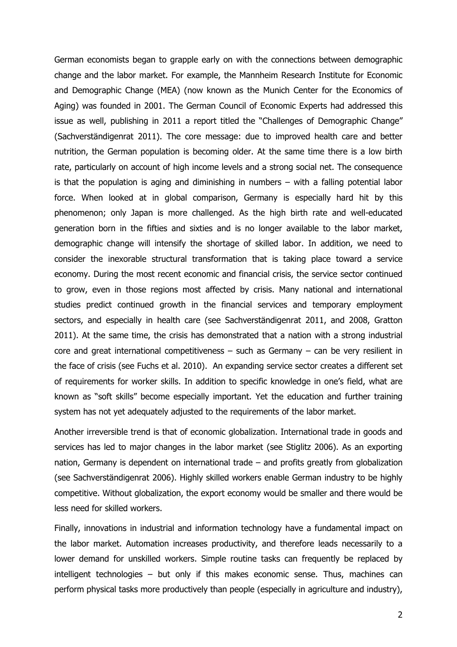German economists began to grapple early on with the connections between demographic change and the labor market. For example, the Mannheim Research Institute for Economic and Demographic Change (MEA) (now known as the Munich Center for the Economics of Aging) was founded in 2001. The German Council of Economic Experts had addressed this issue as well, publishing in 2011 a report titled the "Challenges of Demographic Change" (Sachverständigenrat 2011). The core message: due to improved health care and better nutrition, the German population is becoming older. At the same time there is a low birth rate, particularly on account of high income levels and a strong social net. The consequence is that the population is aging and diminishing in numbers  $-$  with a falling potential labor force. When looked at in global comparison, Germany is especially hard hit by this phenomenon; only Japan is more challenged. As the high birth rate and well-educated generation born in the fifties and sixties and is no longer available to the labor market, demographic change will intensify the shortage of skilled labor. In addition, we need to consider the inexorable structural transformation that is taking place toward a service economy. During the most recent economic and financial crisis, the service sector continued to grow, even in those regions most affected by crisis. Many national and international studies predict continued growth in the financial services and temporary employment sectors, and especially in health care (see Sachverständigenrat 2011, and 2008, Gratton 2011). At the same time, the crisis has demonstrated that a nation with a strong industrial core and great international competitiveness  $-$  such as Germany  $-$  can be very resilient in the face of crisis (see Fuchs et al. 2010). An expanding service sector creates a different set of requirements for worker skills. In addition to specific knowledge in one's field, what are known as "soft skills" become especially important. Yet the education and further training system has not yet adequately adjusted to the requirements of the labor market.

Another irreversible trend is that of economic globalization. International trade in goods and services has led to major changes in the labor market (see Stiglitz 2006). As an exporting nation, Germany is dependent on international trade – and profits greatly from globalization (see Sachverständigenrat 2006). Highly skilled workers enable German industry to be highly competitive. Without globalization, the export economy would be smaller and there would be less need for skilled workers.

Finally, innovations in industrial and information technology have a fundamental impact on the labor market. Automation increases productivity, and therefore leads necessarily to a lower demand for unskilled workers. Simple routine tasks can frequently be replaced by intelligent technologies – but only if this makes economic sense. Thus, machines can perform physical tasks more productively than people (especially in agriculture and industry),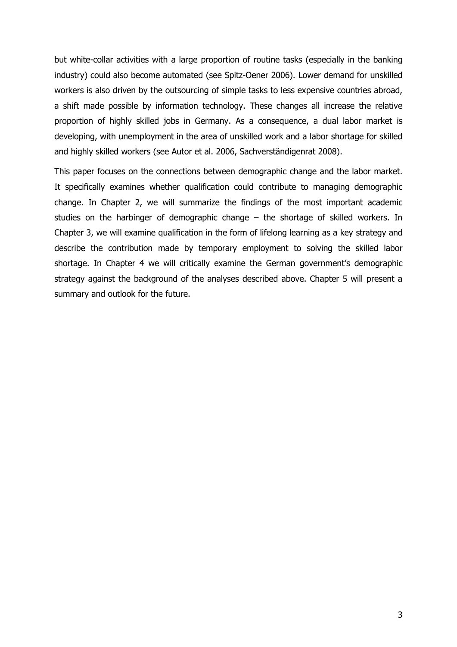but white-collar activities with a large proportion of routine tasks (especially in the banking industry) could also become automated (see Spitz-Oener 2006). Lower demand for unskilled workers is also driven by the outsourcing of simple tasks to less expensive countries abroad, a shift made possible by information technology. These changes all increase the relative proportion of highly skilled jobs in Germany. As a consequence, a dual labor market is developing, with unemployment in the area of unskilled work and a labor shortage for skilled and highly skilled workers (see Autor et al. 2006, Sachverständigenrat 2008).

This paper focuses on the connections between demographic change and the labor market. It specifically examines whether qualification could contribute to managing demographic change. In Chapter 2, we will summarize the findings of the most important academic studies on the harbinger of demographic change – the shortage of skilled workers. In Chapter 3, we will examine qualification in the form of lifelong learning as a key strategy and describe the contribution made by temporary employment to solving the skilled labor shortage. In Chapter 4 we will critically examine the German government's demographic strategy against the background of the analyses described above. Chapter 5 will present a summary and outlook for the future.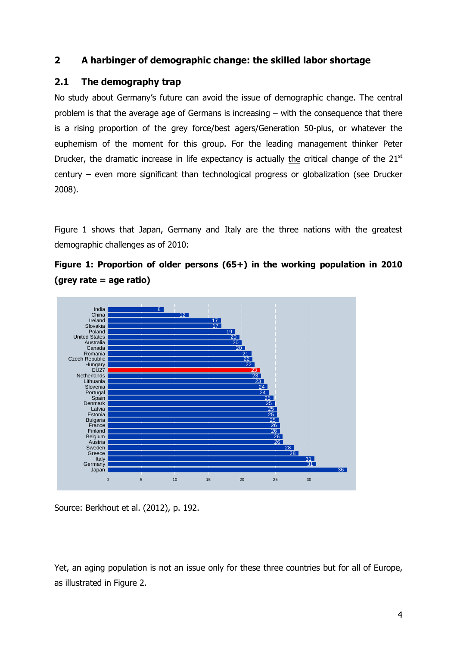# **2 A harbinger of demographic change: the skilled labor shortage**

# **2.1 The demography trap**

No study about Germany's future can avoid the issue of demographic change. The central problem is that the average age of Germans is increasing – with the consequence that there is a rising proportion of the grey force/best agers/Generation 50-plus, or whatever the euphemism of the moment for this group. For the leading management thinker Peter Drucker, the dramatic increase in life expectancy is actually the critical change of the  $21<sup>st</sup>$ century – even more significant than technological progress or globalization (see Drucker 2008).

Figure 1 shows that Japan, Germany and Italy are the three nations with the greatest demographic challenges as of 2010:





Source: Berkhout et al. (2012), p. 192.

Yet, an aging population is not an issue only for these three countries but for all of Europe, as illustrated in Figure 2.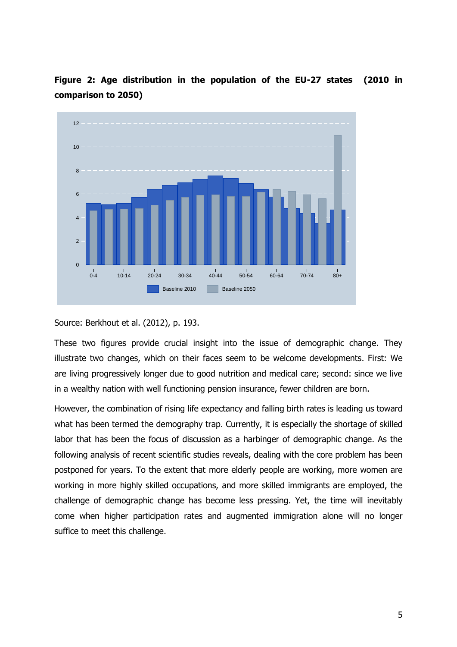

**Figure 2: Age distribution in the population of the EU-27 states (2010 in comparison to 2050)**

Source: Berkhout et al. (2012), p. 193.

These two figures provide crucial insight into the issue of demographic change. They illustrate two changes, which on their faces seem to be welcome developments. First: We are living progressively longer due to good nutrition and medical care; second: since we live in a wealthy nation with well functioning pension insurance, fewer children are born.

However, the combination of rising life expectancy and falling birth rates is leading us toward what has been termed the demography trap. Currently, it is especially the shortage of skilled labor that has been the focus of discussion as a harbinger of demographic change. As the following analysis of recent scientific studies reveals, dealing with the core problem has been postponed for years. To the extent that more elderly people are working, more women are working in more highly skilled occupations, and more skilled immigrants are employed, the challenge of demographic change has become less pressing. Yet, the time will inevitably come when higher participation rates and augmented immigration alone will no longer suffice to meet this challenge.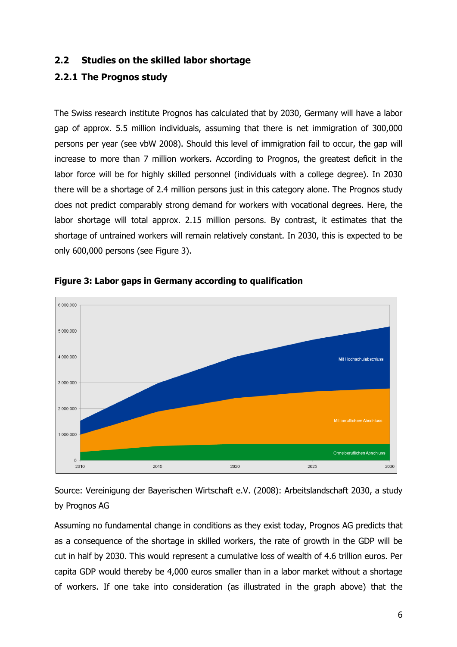# **2.2 Studies on the skilled labor shortage**

# **2.2.1 The Prognos study**

The Swiss research institute Prognos has calculated that by 2030, Germany will have a labor gap of approx. 5.5 million individuals, assuming that there is net immigration of 300,000 persons per year (see vbW 2008). Should this level of immigration fail to occur, the gap will increase to more than 7 million workers. According to Prognos, the greatest deficit in the labor force will be for highly skilled personnel (individuals with a college degree). In 2030 there will be a shortage of 2.4 million persons just in this category alone. The Prognos study does not predict comparably strong demand for workers with vocational degrees. Here, the labor shortage will total approx. 2.15 million persons. By contrast, it estimates that the shortage of untrained workers will remain relatively constant. In 2030, this is expected to be only 600,000 persons (see Figure 3).





Source: Vereinigung der Bayerischen Wirtschaft e.V. (2008): Arbeitslandschaft 2030, a study by Prognos AG

Assuming no fundamental change in conditions as they exist today, Prognos AG predicts that as a consequence of the shortage in skilled workers, the rate of growth in the GDP will be cut in half by 2030. This would represent a cumulative loss of wealth of 4.6 trillion euros. Per capita GDP would thereby be 4,000 euros smaller than in a labor market without a shortage of workers. If one take into consideration (as illustrated in the graph above) that the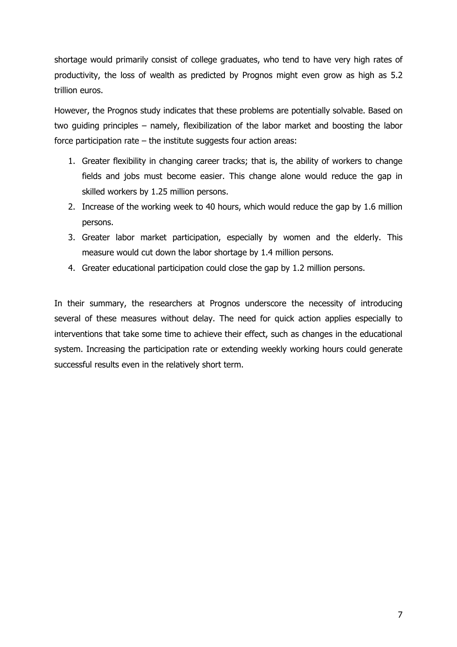shortage would primarily consist of college graduates, who tend to have very high rates of productivity, the loss of wealth as predicted by Prognos might even grow as high as 5.2 trillion euros.

However, the Prognos study indicates that these problems are potentially solvable. Based on two guiding principles – namely, flexibilization of the labor market and boosting the labor force participation rate – the institute suggests four action areas:

- 1. Greater flexibility in changing career tracks; that is, the ability of workers to change fields and jobs must become easier. This change alone would reduce the gap in skilled workers by 1.25 million persons.
- 2. Increase of the working week to 40 hours, which would reduce the gap by 1.6 million persons.
- 3. Greater labor market participation, especially by women and the elderly. This measure would cut down the labor shortage by 1.4 million persons.
- 4. Greater educational participation could close the gap by 1.2 million persons.

In their summary, the researchers at Prognos underscore the necessity of introducing several of these measures without delay. The need for quick action applies especially to interventions that take some time to achieve their effect, such as changes in the educational system. Increasing the participation rate or extending weekly working hours could generate successful results even in the relatively short term.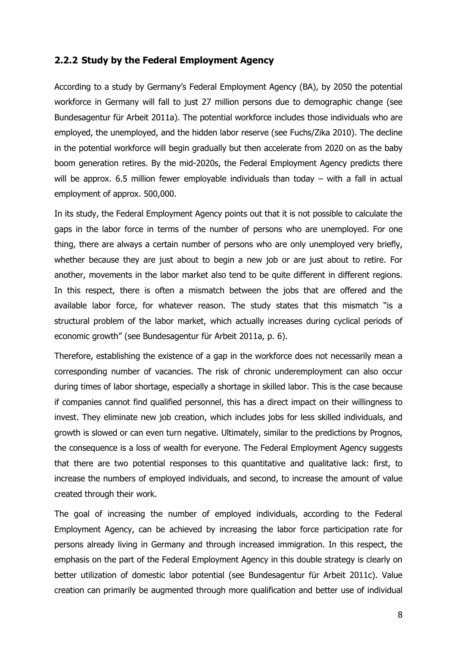#### **2.2.2 Study by the Federal Employment Agency**

According to a study by Germany's Federal Employment Agency (BA), by 2050 the potential workforce in Germany will fall to just 27 million persons due to demographic change (see Bundesagentur für Arbeit 2011a). The potential workforce includes those individuals who are employed, the unemployed, and the hidden labor reserve (see Fuchs/Zika 2010). The decline in the potential workforce will begin gradually but then accelerate from 2020 on as the baby boom generation retires. By the mid-2020s, the Federal Employment Agency predicts there will be approx. 6.5 million fewer employable individuals than today – with a fall in actual employment of approx. 500,000.

In its study, the Federal Employment Agency points out that it is not possible to calculate the gaps in the labor force in terms of the number of persons who are unemployed. For one thing, there are always a certain number of persons who are only unemployed very briefly, whether because they are just about to begin a new job or are just about to retire. For another, movements in the labor market also tend to be quite different in different regions. In this respect, there is often a mismatch between the jobs that are offered and the available labor force, for whatever reason. The study states that this mismatch "is a structural problem of the labor market, which actually increases during cyclical periods of economic growth" (see Bundesagentur für Arbeit 2011a, p. 6).

Therefore, establishing the existence of a gap in the workforce does not necessarily mean a corresponding number of vacancies. The risk of chronic underemployment can also occur during times of labor shortage, especially a shortage in skilled labor. This is the case because if companies cannot find qualified personnel, this has a direct impact on their willingness to invest. They eliminate new job creation, which includes jobs for less skilled individuals, and growth is slowed or can even turn negative. Ultimately, similar to the predictions by Prognos, the consequence is a loss of wealth for everyone. The Federal Employment Agency suggests that there are two potential responses to this quantitative and qualitative lack: first, to increase the numbers of employed individuals, and second, to increase the amount of value created through their work.

The goal of increasing the number of employed individuals, according to the Federal Employment Agency, can be achieved by increasing the labor force participation rate for persons already living in Germany and through increased immigration. In this respect, the emphasis on the part of the Federal Employment Agency in this double strategy is clearly on better utilization of domestic labor potential (see Bundesagentur für Arbeit 2011c). Value creation can primarily be augmented through more qualification and better use of individual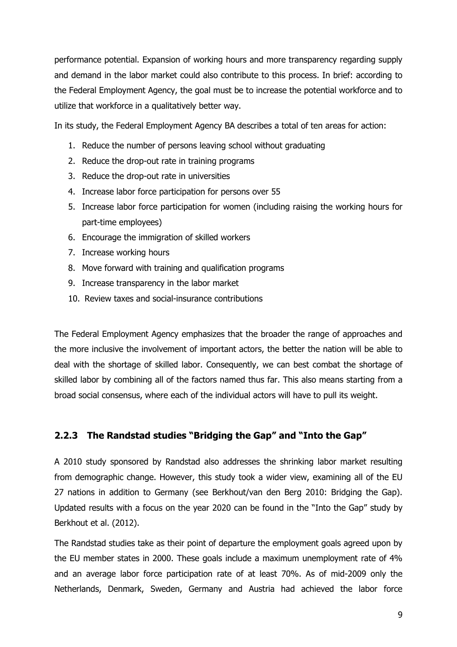performance potential. Expansion of working hours and more transparency regarding supply and demand in the labor market could also contribute to this process. In brief: according to the Federal Employment Agency, the goal must be to increase the potential workforce and to utilize that workforce in a qualitatively better way.

In its study, the Federal Employment Agency BA describes a total of ten areas for action:

- 1. Reduce the number of persons leaving school without graduating
- 2. Reduce the drop-out rate in training programs
- 3. Reduce the drop-out rate in universities
- 4. Increase labor force participation for persons over 55
- 5. Increase labor force participation for women (including raising the working hours for part-time employees)
- 6. Encourage the immigration of skilled workers
- 7. Increase working hours
- 8. Move forward with training and qualification programs
- 9. Increase transparency in the labor market
- 10. Review taxes and social-insurance contributions

The Federal Employment Agency emphasizes that the broader the range of approaches and the more inclusive the involvement of important actors, the better the nation will be able to deal with the shortage of skilled labor. Consequently, we can best combat the shortage of skilled labor by combining all of the factors named thus far. This also means starting from a broad social consensus, where each of the individual actors will have to pull its weight.

# **2.2.3 The Randstad studies "Bridging the Gap" and "Into the Gap"**

A 2010 study sponsored by Randstad also addresses the shrinking labor market resulting from demographic change. However, this study took a wider view, examining all of the EU 27 nations in addition to Germany (see Berkhout/van den Berg 2010: Bridging the Gap). Updated results with a focus on the year 2020 can be found in the "Into the Gap" study by Berkhout et al. (2012).

The Randstad studies take as their point of departure the employment goals agreed upon by the EU member states in 2000. These goals include a maximum unemployment rate of 4% and an average labor force participation rate of at least 70%. As of mid-2009 only the Netherlands, Denmark, Sweden, Germany and Austria had achieved the labor force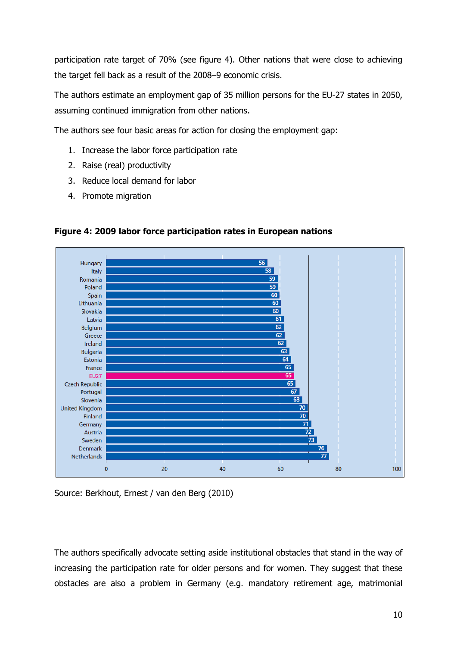participation rate target of 70% (see figure 4). Other nations that were close to achieving the target fell back as a result of the 2008–9 economic crisis.

The authors estimate an employment gap of 35 million persons for the EU-27 states in 2050, assuming continued immigration from other nations.

The authors see four basic areas for action for closing the employment gap:

- 1. Increase the labor force participation rate
- 2. Raise (real) productivity
- 3. Reduce local demand for labor
- 4. Promote migration



**Figure 4: 2009 labor force participation rates in European nations** 

Source: Berkhout, Ernest / van den Berg (2010)

The authors specifically advocate setting aside institutional obstacles that stand in the way of increasing the participation rate for older persons and for women. They suggest that these obstacles are also a problem in Germany (e.g. mandatory retirement age, matrimonial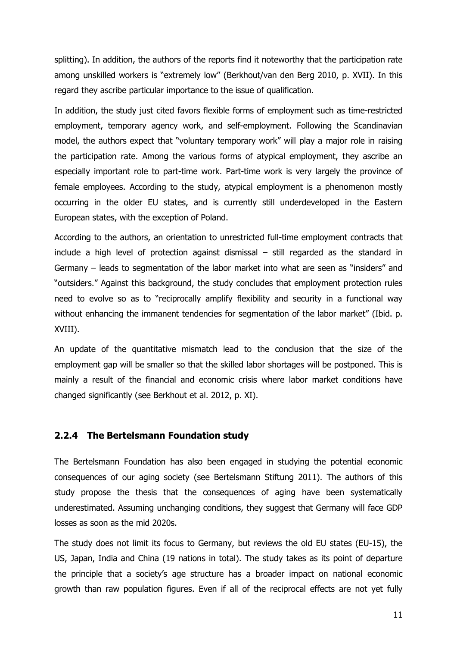splitting). In addition, the authors of the reports find it noteworthy that the participation rate among unskilled workers is "extremely low" (Berkhout/van den Berg 2010, p. XVII). In this regard they ascribe particular importance to the issue of qualification.

In addition, the study just cited favors flexible forms of employment such as time-restricted employment, temporary agency work, and self-employment. Following the Scandinavian model, the authors expect that "voluntary temporary work" will play a major role in raising the participation rate. Among the various forms of atypical employment, they ascribe an especially important role to part-time work. Part-time work is very largely the province of female employees. According to the study, atypical employment is a phenomenon mostly occurring in the older EU states, and is currently still underdeveloped in the Eastern European states, with the exception of Poland.

According to the authors, an orientation to unrestricted full-time employment contracts that include a high level of protection against dismissal – still regarded as the standard in Germany – leads to segmentation of the labor market into what are seen as "insiders" and "outsiders." Against this background, the study concludes that employment protection rules need to evolve so as to "reciprocally amplify flexibility and security in a functional way without enhancing the immanent tendencies for segmentation of the labor market" (Ibid. p. XVIII).

An update of the quantitative mismatch lead to the conclusion that the size of the employment gap will be smaller so that the skilled labor shortages will be postponed. This is mainly a result of the financial and economic crisis where labor market conditions have changed significantly (see Berkhout et al. 2012, p. XI).

# **2.2.4 The Bertelsmann Foundation study**

The Bertelsmann Foundation has also been engaged in studying the potential economic consequences of our aging society (see Bertelsmann Stiftung 2011). The authors of this study propose the thesis that the consequences of aging have been systematically underestimated. Assuming unchanging conditions, they suggest that Germany will face GDP losses as soon as the mid 2020s.

The study does not limit its focus to Germany, but reviews the old EU states (EU-15), the US, Japan, India and China (19 nations in total). The study takes as its point of departure the principle that a society's age structure has a broader impact on national economic growth than raw population figures. Even if all of the reciprocal effects are not yet fully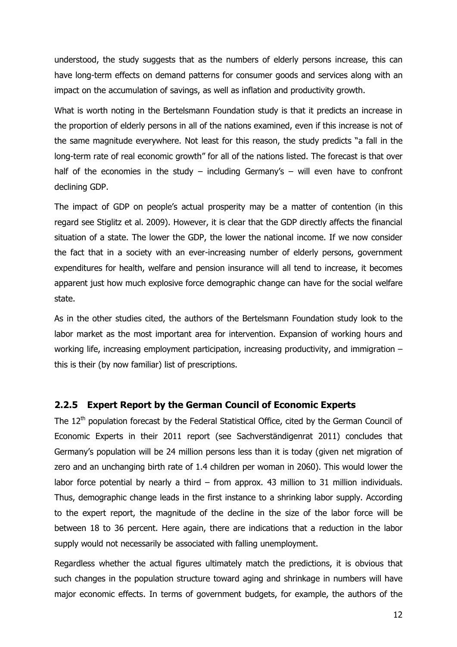understood, the study suggests that as the numbers of elderly persons increase, this can have long-term effects on demand patterns for consumer goods and services along with an impact on the accumulation of savings, as well as inflation and productivity growth.

What is worth noting in the Bertelsmann Foundation study is that it predicts an increase in the proportion of elderly persons in all of the nations examined, even if this increase is not of the same magnitude everywhere. Not least for this reason, the study predicts "a fall in the long-term rate of real economic growth" for all of the nations listed. The forecast is that over half of the economies in the study – including Germany's – will even have to confront declining GDP.

The impact of GDP on people's actual prosperity may be a matter of contention (in this regard see Stiglitz et al. 2009). However, it is clear that the GDP directly affects the financial situation of a state. The lower the GDP, the lower the national income. If we now consider the fact that in a society with an ever-increasing number of elderly persons, government expenditures for health, welfare and pension insurance will all tend to increase, it becomes apparent just how much explosive force demographic change can have for the social welfare state.

As in the other studies cited, the authors of the Bertelsmann Foundation study look to the labor market as the most important area for intervention. Expansion of working hours and working life, increasing employment participation, increasing productivity, and immigration  $$ this is their (by now familiar) list of prescriptions.

#### **2.2.5 Expert Report by the German Council of Economic Experts**

The 12<sup>th</sup> population forecast by the Federal Statistical Office, cited by the German Council of Economic Experts in their 2011 report (see Sachverständigenrat 2011) concludes that Germany's population will be 24 million persons less than it is today (given net migration of zero and an unchanging birth rate of 1.4 children per woman in 2060). This would lower the labor force potential by nearly a third – from approx. 43 million to 31 million individuals. Thus, demographic change leads in the first instance to a shrinking labor supply. According to the expert report, the magnitude of the decline in the size of the labor force will be between 18 to 36 percent. Here again, there are indications that a reduction in the labor supply would not necessarily be associated with falling unemployment.

Regardless whether the actual figures ultimately match the predictions, it is obvious that such changes in the population structure toward aging and shrinkage in numbers will have major economic effects. In terms of government budgets, for example, the authors of the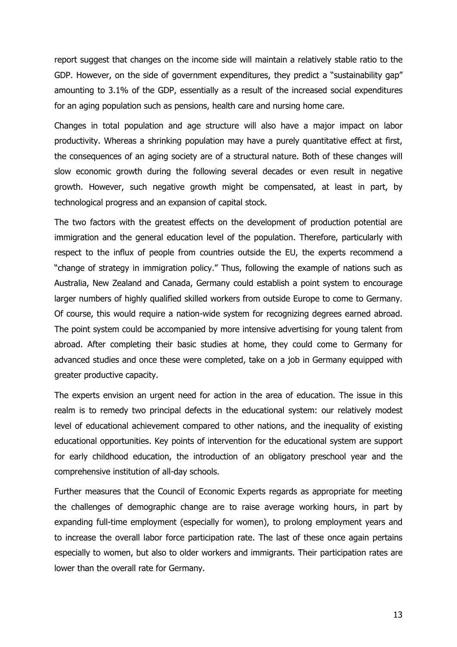report suggest that changes on the income side will maintain a relatively stable ratio to the GDP. However, on the side of government expenditures, they predict a "sustainability gap" amounting to 3.1% of the GDP, essentially as a result of the increased social expenditures for an aging population such as pensions, health care and nursing home care.

Changes in total population and age structure will also have a major impact on labor productivity. Whereas a shrinking population may have a purely quantitative effect at first, the consequences of an aging society are of a structural nature. Both of these changes will slow economic growth during the following several decades or even result in negative growth. However, such negative growth might be compensated, at least in part, by technological progress and an expansion of capital stock.

The two factors with the greatest effects on the development of production potential are immigration and the general education level of the population. Therefore, particularly with respect to the influx of people from countries outside the EU, the experts recommend a "change of strategy in immigration policy." Thus, following the example of nations such as Australia, New Zealand and Canada, Germany could establish a point system to encourage larger numbers of highly qualified skilled workers from outside Europe to come to Germany. Of course, this would require a nation-wide system for recognizing degrees earned abroad. The point system could be accompanied by more intensive advertising for young talent from abroad. After completing their basic studies at home, they could come to Germany for advanced studies and once these were completed, take on a job in Germany equipped with greater productive capacity.

The experts envision an urgent need for action in the area of education. The issue in this realm is to remedy two principal defects in the educational system: our relatively modest level of educational achievement compared to other nations, and the inequality of existing educational opportunities. Key points of intervention for the educational system are support for early childhood education, the introduction of an obligatory preschool year and the comprehensive institution of all-day schools.

Further measures that the Council of Economic Experts regards as appropriate for meeting the challenges of demographic change are to raise average working hours, in part by expanding full-time employment (especially for women), to prolong employment years and to increase the overall labor force participation rate. The last of these once again pertains especially to women, but also to older workers and immigrants. Their participation rates are lower than the overall rate for Germany.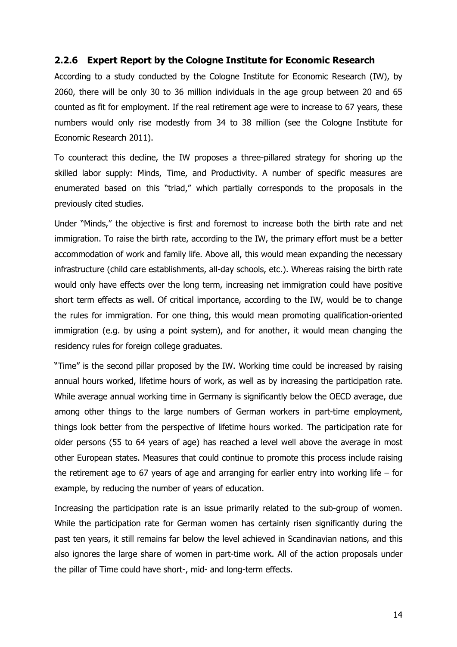# **2.2.6 Expert Report by the Cologne Institute for Economic Research**

According to a study conducted by the Cologne Institute for Economic Research (IW), by 2060, there will be only 30 to 36 million individuals in the age group between 20 and 65 counted as fit for employment. If the real retirement age were to increase to 67 years, these numbers would only rise modestly from 34 to 38 million (see the Cologne Institute for Economic Research 2011).

To counteract this decline, the IW proposes a three-pillared strategy for shoring up the skilled labor supply: Minds, Time, and Productivity. A number of specific measures are enumerated based on this "triad," which partially corresponds to the proposals in the previously cited studies.

Under "Minds," the objective is first and foremost to increase both the birth rate and net immigration. To raise the birth rate, according to the IW, the primary effort must be a better accommodation of work and family life. Above all, this would mean expanding the necessary infrastructure (child care establishments, all-day schools, etc.). Whereas raising the birth rate would only have effects over the long term, increasing net immigration could have positive short term effects as well. Of critical importance, according to the IW, would be to change the rules for immigration. For one thing, this would mean promoting qualification-oriented immigration (e.g. by using a point system), and for another, it would mean changing the residency rules for foreign college graduates.

"Time" is the second pillar proposed by the IW. Working time could be increased by raising annual hours worked, lifetime hours of work, as well as by increasing the participation rate. While average annual working time in Germany is significantly below the OECD average, due among other things to the large numbers of German workers in part-time employment, things look better from the perspective of lifetime hours worked. The participation rate for older persons (55 to 64 years of age) has reached a level well above the average in most other European states. Measures that could continue to promote this process include raising the retirement age to 67 years of age and arranging for earlier entry into working life – for example, by reducing the number of years of education.

Increasing the participation rate is an issue primarily related to the sub-group of women. While the participation rate for German women has certainly risen significantly during the past ten years, it still remains far below the level achieved in Scandinavian nations, and this also ignores the large share of women in part-time work. All of the action proposals under the pillar of Time could have short-, mid- and long-term effects.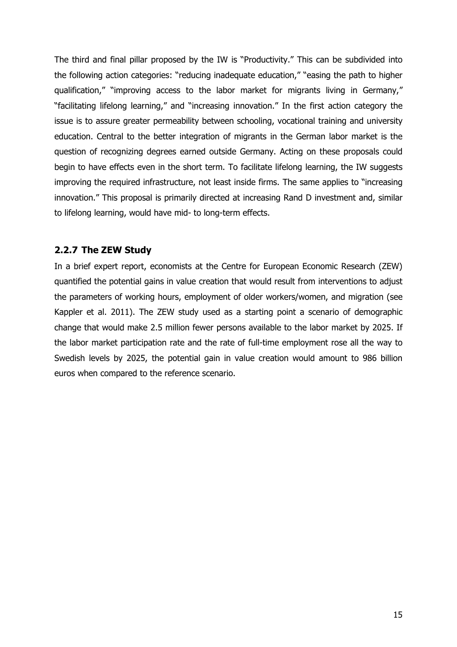The third and final pillar proposed by the IW is "Productivity." This can be subdivided into the following action categories: "reducing inadequate education," "easing the path to higher qualification," "improving access to the labor market for migrants living in Germany," "facilitating lifelong learning," and "increasing innovation." In the first action category the issue is to assure greater permeability between schooling, vocational training and university education. Central to the better integration of migrants in the German labor market is the question of recognizing degrees earned outside Germany. Acting on these proposals could begin to have effects even in the short term. To facilitate lifelong learning, the IW suggests improving the required infrastructure, not least inside firms. The same applies to "increasing innovation." This proposal is primarily directed at increasing Rand D investment and, similar to lifelong learning, would have mid- to long-term effects.

## **2.2.7 The ZEW Study**

In a brief expert report, economists at the Centre for European Economic Research (ZEW) quantified the potential gains in value creation that would result from interventions to adjust the parameters of working hours, employment of older workers/women, and migration (see Kappler et al. 2011). The ZEW study used as a starting point a scenario of demographic change that would make 2.5 million fewer persons available to the labor market by 2025. If the labor market participation rate and the rate of full-time employment rose all the way to Swedish levels by 2025, the potential gain in value creation would amount to 986 billion euros when compared to the reference scenario.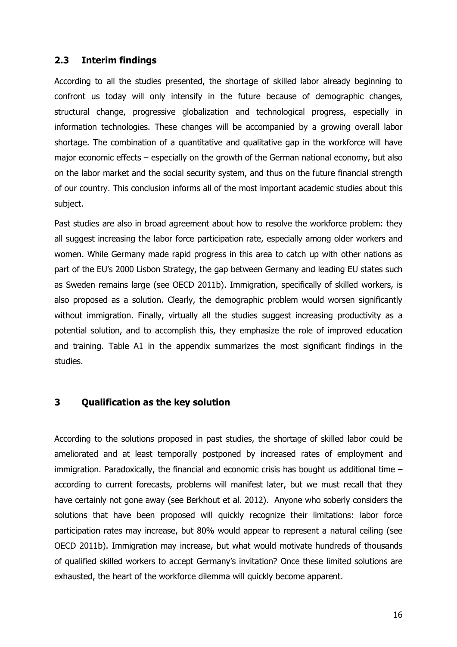#### **2.3 Interim findings**

According to all the studies presented, the shortage of skilled labor already beginning to confront us today will only intensify in the future because of demographic changes, structural change, progressive globalization and technological progress, especially in information technologies. These changes will be accompanied by a growing overall labor shortage. The combination of a quantitative and qualitative gap in the workforce will have major economic effects – especially on the growth of the German national economy, but also on the labor market and the social security system, and thus on the future financial strength of our country. This conclusion informs all of the most important academic studies about this subject.

Past studies are also in broad agreement about how to resolve the workforce problem: they all suggest increasing the labor force participation rate, especially among older workers and women. While Germany made rapid progress in this area to catch up with other nations as part of the EU's 2000 Lisbon Strategy, the gap between Germany and leading EU states such as Sweden remains large (see OECD 2011b). Immigration, specifically of skilled workers, is also proposed as a solution. Clearly, the demographic problem would worsen significantly without immigration. Finally, virtually all the studies suggest increasing productivity as a potential solution, and to accomplish this, they emphasize the role of improved education and training. Table A1 in the appendix summarizes the most significant findings in the studies.

# **3 Qualification as the key solution**

According to the solutions proposed in past studies, the shortage of skilled labor could be ameliorated and at least temporally postponed by increased rates of employment and immigration. Paradoxically, the financial and economic crisis has bought us additional time – according to current forecasts, problems will manifest later, but we must recall that they have certainly not gone away (see Berkhout et al. 2012). Anyone who soberly considers the solutions that have been proposed will quickly recognize their limitations: labor force participation rates may increase, but 80% would appear to represent a natural ceiling (see OECD 2011b). Immigration may increase, but what would motivate hundreds of thousands of qualified skilled workers to accept Germany's invitation? Once these limited solutions are exhausted, the heart of the workforce dilemma will quickly become apparent.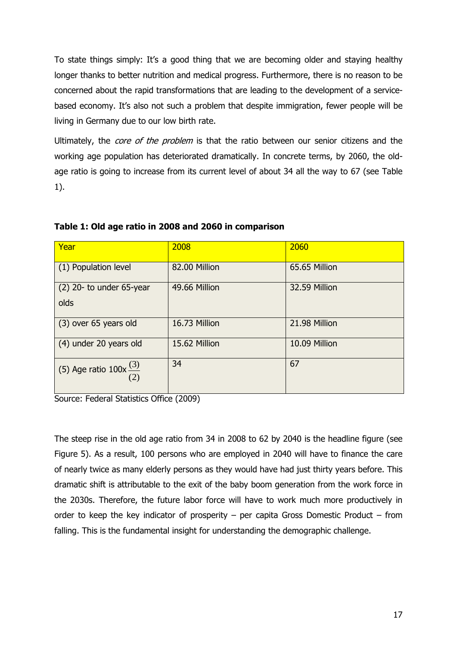To state things simply: It's a good thing that we are becoming older and staying healthy longer thanks to better nutrition and medical progress. Furthermore, there is no reason to be concerned about the rapid transformations that are leading to the development of a servicebased economy. It's also not such a problem that despite immigration, fewer people will be living in Germany due to our low birth rate.

Ultimately, the *core of the problem* is that the ratio between our senior citizens and the working age population has deteriorated dramatically. In concrete terms, by 2060, the oldage ratio is going to increase from its current level of about 34 all the way to 67 (see Table 1).

| Year                               | 2008          | 2060          |
|------------------------------------|---------------|---------------|
| (1) Population level               | 82.00 Million | 65.65 Million |
| $(2)$ 20- to under 65-year<br>olds | 49.66 Million | 32.59 Million |
| (3) over 65 years old              | 16.73 Million | 21.98 Million |
| (4) under 20 years old             | 15.62 Million | 10.09 Million |
| (5) Age ratio $100x^{(3)}$<br>(2)  | 34            | 67            |

**Table 1: Old age ratio in 2008 and 2060 in comparison**

Source: Federal Statistics Office (2009)

The steep rise in the old age ratio from 34 in 2008 to 62 by 2040 is the headline figure (see Figure 5). As a result, 100 persons who are employed in 2040 will have to finance the care of nearly twice as many elderly persons as they would have had just thirty years before. This dramatic shift is attributable to the exit of the baby boom generation from the work force in the 2030s. Therefore, the future labor force will have to work much more productively in order to keep the key indicator of prosperity – per capita Gross Domestic Product – from falling. This is the fundamental insight for understanding the demographic challenge.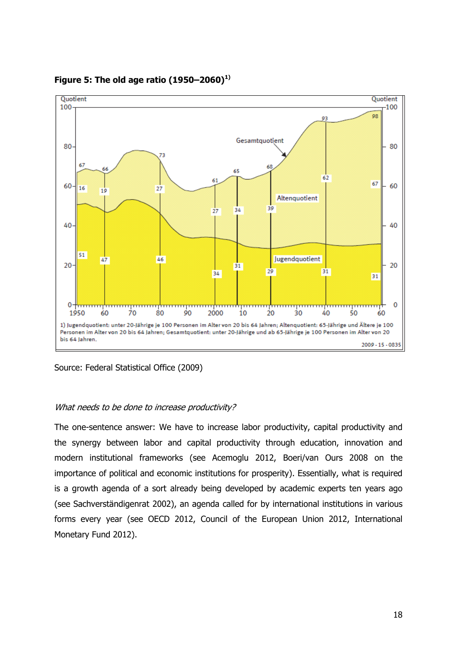

**Figure 5: The old age ratio (1950–2060)1)**

Source: Federal Statistical Office (2009)

#### What needs to be done to increase productivity?

The one-sentence answer: We have to increase labor productivity, capital productivity and the synergy between labor and capital productivity through education, innovation and modern institutional frameworks (see Acemoglu 2012, Boeri/van Ours 2008 on the importance of political and economic institutions for prosperity). Essentially, what is required is a growth agenda of a sort already being developed by academic experts ten years ago (see Sachverständigenrat 2002), an agenda called for by international institutions in various forms every year (see OECD 2012, Council of the European Union 2012, International Monetary Fund 2012).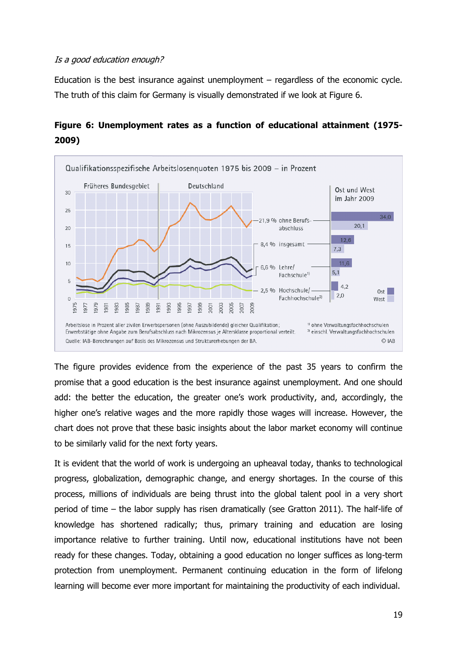#### Is a good education enough?

Education is the best insurance against unemployment – regardless of the economic cycle. The truth of this claim for Germany is visually demonstrated if we look at Figure 6.





The figure provides evidence from the experience of the past 35 years to confirm the promise that a good education is the best insurance against unemployment. And one should add: the better the education, the greater one's work productivity, and, accordingly, the higher one's relative wages and the more rapidly those wages will increase. However, the chart does not prove that these basic insights about the labor market economy will continue to be similarly valid for the next forty years.

It is evident that the world of work is undergoing an upheaval today, thanks to technological progress, globalization, demographic change, and energy shortages. In the course of this process, millions of individuals are being thrust into the global talent pool in a very short period of time – the labor supply has risen dramatically (see Gratton 2011). The half-life of knowledge has shortened radically; thus, primary training and education are losing importance relative to further training. Until now, educational institutions have not been ready for these changes. Today, obtaining a good education no longer suffices as long-term protection from unemployment. Permanent continuing education in the form of lifelong learning will become ever more important for maintaining the productivity of each individual.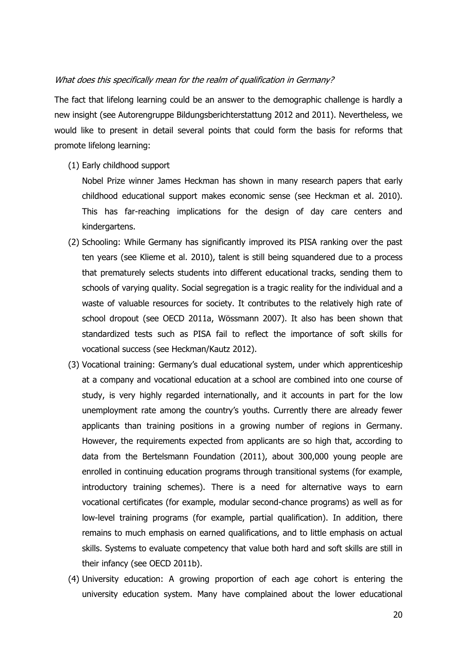#### What does this specifically mean for the realm of qualification in Germany?

The fact that lifelong learning could be an answer to the demographic challenge is hardly a new insight (see Autorengruppe Bildungsberichterstattung 2012 and 2011). Nevertheless, we would like to present in detail several points that could form the basis for reforms that promote lifelong learning:

- (1) Early childhood support
	- Nobel Prize winner James Heckman has shown in many research papers that early childhood educational support makes economic sense (see Heckman et al. 2010). This has far-reaching implications for the design of day care centers and kindergartens.
- (2) Schooling: While Germany has significantly improved its PISA ranking over the past ten years (see Klieme et al. 2010), talent is still being squandered due to a process that prematurely selects students into different educational tracks, sending them to schools of varying quality. Social segregation is a tragic reality for the individual and a waste of valuable resources for society. It contributes to the relatively high rate of school dropout (see OECD 2011a, Wössmann 2007). It also has been shown that standardized tests such as PISA fail to reflect the importance of soft skills for vocational success (see Heckman/Kautz 2012).
- (3) Vocational training: Germany's dual educational system, under which apprenticeship at a company and vocational education at a school are combined into one course of study, is very highly regarded internationally, and it accounts in part for the low unemployment rate among the country's youths. Currently there are already fewer applicants than training positions in a growing number of regions in Germany. However, the requirements expected from applicants are so high that, according to data from the Bertelsmann Foundation (2011), about 300,000 young people are enrolled in continuing education programs through transitional systems (for example, introductory training schemes). There is a need for alternative ways to earn vocational certificates (for example, modular second-chance programs) as well as for low-level training programs (for example, partial qualification). In addition, there remains to much emphasis on earned qualifications, and to little emphasis on actual skills. Systems to evaluate competency that value both hard and soft skills are still in their infancy (see OECD 2011b).
- (4) University education: A growing proportion of each age cohort is entering the university education system. Many have complained about the lower educational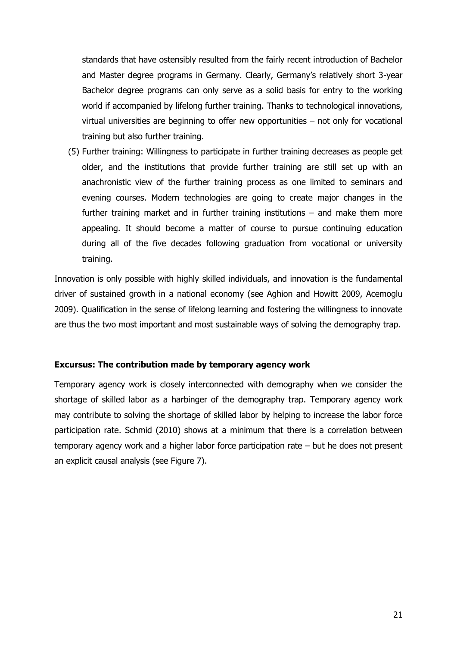standards that have ostensibly resulted from the fairly recent introduction of Bachelor and Master degree programs in Germany. Clearly, Germany's relatively short 3-year Bachelor degree programs can only serve as a solid basis for entry to the working world if accompanied by lifelong further training. Thanks to technological innovations, virtual universities are beginning to offer new opportunities – not only for vocational training but also further training.

(5) Further training: Willingness to participate in further training decreases as people get older, and the institutions that provide further training are still set up with an anachronistic view of the further training process as one limited to seminars and evening courses. Modern technologies are going to create major changes in the further training market and in further training institutions – and make them more appealing. It should become a matter of course to pursue continuing education during all of the five decades following graduation from vocational or university training.

Innovation is only possible with highly skilled individuals, and innovation is the fundamental driver of sustained growth in a national economy (see Aghion and Howitt 2009, Acemoglu 2009). Qualification in the sense of lifelong learning and fostering the willingness to innovate are thus the two most important and most sustainable ways of solving the demography trap.

#### **Excursus: The contribution made by temporary agency work**

Temporary agency work is closely interconnected with demography when we consider the shortage of skilled labor as a harbinger of the demography trap. Temporary agency work may contribute to solving the shortage of skilled labor by helping to increase the labor force participation rate. Schmid (2010) shows at a minimum that there is a correlation between temporary agency work and a higher labor force participation rate – but he does not present an explicit causal analysis (see Figure 7).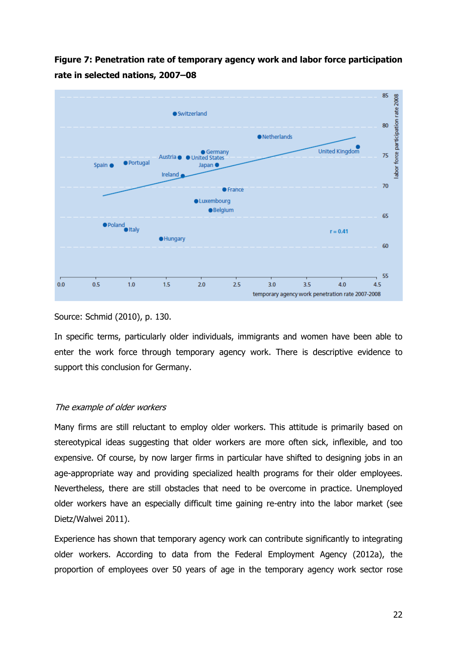**Figure 7: Penetration rate of temporary agency work and labor force participation rate in selected nations, 2007–08**



#### Source: Schmid (2010), p. 130.

In specific terms, particularly older individuals, immigrants and women have been able to enter the work force through temporary agency work. There is descriptive evidence to support this conclusion for Germany.

#### The example of older workers

Many firms are still reluctant to employ older workers. This attitude is primarily based on stereotypical ideas suggesting that older workers are more often sick, inflexible, and too expensive. Of course, by now larger firms in particular have shifted to designing jobs in an age-appropriate way and providing specialized health programs for their older employees. Nevertheless, there are still obstacles that need to be overcome in practice. Unemployed older workers have an especially difficult time gaining re-entry into the labor market (see Dietz/Walwei 2011).

Experience has shown that temporary agency work can contribute significantly to integrating older workers. According to data from the Federal Employment Agency (2012a), the proportion of employees over 50 years of age in the temporary agency work sector rose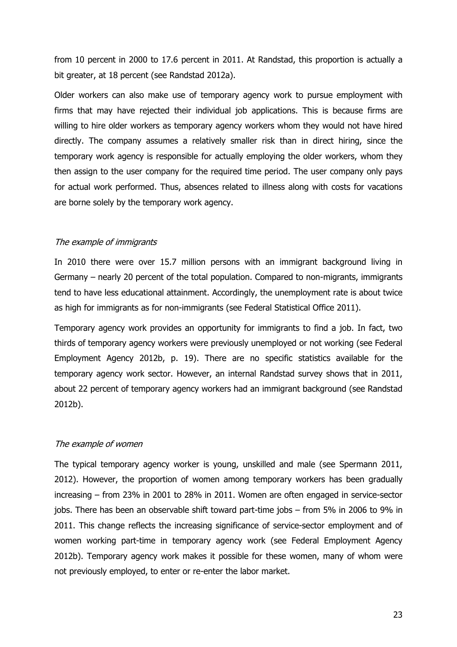from 10 percent in 2000 to 17.6 percent in 2011. At Randstad, this proportion is actually a bit greater, at 18 percent (see Randstad 2012a).

Older workers can also make use of temporary agency work to pursue employment with firms that may have rejected their individual job applications. This is because firms are willing to hire older workers as temporary agency workers whom they would not have hired directly. The company assumes a relatively smaller risk than in direct hiring, since the temporary work agency is responsible for actually employing the older workers, whom they then assign to the user company for the required time period. The user company only pays for actual work performed. Thus, absences related to illness along with costs for vacations are borne solely by the temporary work agency.

#### The example of immigrants

In 2010 there were over 15.7 million persons with an immigrant background living in Germany – nearly 20 percent of the total population. Compared to non-migrants, immigrants tend to have less educational attainment. Accordingly, the unemployment rate is about twice as high for immigrants as for non-immigrants (see Federal Statistical Office 2011).

Temporary agency work provides an opportunity for immigrants to find a job. In fact, two thirds of temporary agency workers were previously unemployed or not working (see Federal Employment Agency 2012b, p. 19). There are no specific statistics available for the temporary agency work sector. However, an internal Randstad survey shows that in 2011, about 22 percent of temporary agency workers had an immigrant background (see Randstad 2012b).

#### The example of women

The typical temporary agency worker is young, unskilled and male (see Spermann 2011, 2012). However, the proportion of women among temporary workers has been gradually increasing – from 23% in 2001 to 28% in 2011. Women are often engaged in service-sector jobs. There has been an observable shift toward part-time jobs – from 5% in 2006 to 9% in 2011. This change reflects the increasing significance of service-sector employment and of women working part-time in temporary agency work (see Federal Employment Agency 2012b). Temporary agency work makes it possible for these women, many of whom were not previously employed, to enter or re-enter the labor market.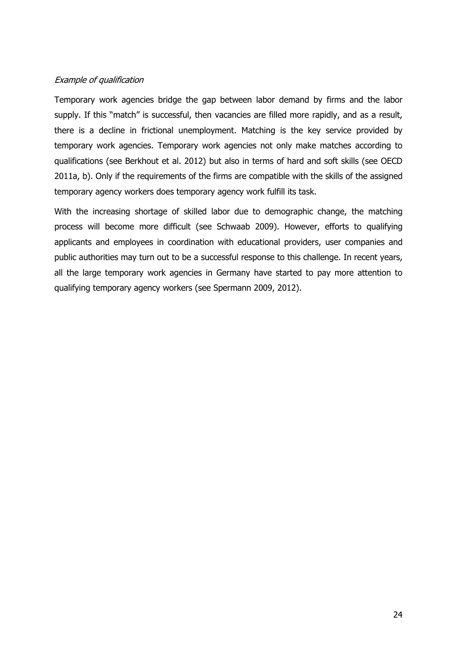#### Example of qualification

Temporary work agencies bridge the gap between labor demand by firms and the labor supply. If this "match" is successful, then vacancies are filled more rapidly, and as a result, there is a decline in frictional unemployment. Matching is the key service provided by temporary work agencies. Temporary work agencies not only make matches according to qualifications (see Berkhout et al. 2012) but also in terms of hard and soft skills (see OECD 2011a, b). Only if the requirements of the firms are compatible with the skills of the assigned temporary agency workers does temporary agency work fulfill its task.

With the increasing shortage of skilled labor due to demographic change, the matching process will become more difficult (see Schwaab 2009). However, efforts to qualifying applicants and employees in coordination with educational providers, user companies and public authorities may turn out to be a successful response to this challenge. In recent years, all the large temporary work agencies in Germany have started to pay more attention to qualifying temporary agency workers (see Spermann 2009, 2012).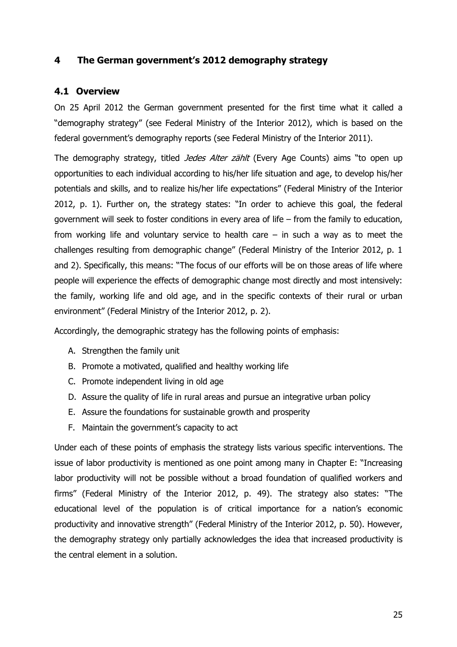# **4 The German government's 2012 demography strategy**

## **4.1 Overview**

On 25 April 2012 the German government presented for the first time what it called a "demography strategy" (see Federal Ministry of the Interior 2012), which is based on the federal government's demography reports (see Federal Ministry of the Interior 2011).

The demography strategy, titled *Jedes Alter zählt* (Every Age Counts) aims "to open up opportunities to each individual according to his/her life situation and age, to develop his/her potentials and skills, and to realize his/her life expectations" (Federal Ministry of the Interior 2012, p. 1). Further on, the strategy states: "In order to achieve this goal, the federal government will seek to foster conditions in every area of life – from the family to education, from working life and voluntary service to health care  $-$  in such a way as to meet the challenges resulting from demographic change" (Federal Ministry of the Interior 2012, p. 1 and 2). Specifically, this means: "The focus of our efforts will be on those areas of life where people will experience the effects of demographic change most directly and most intensively: the family, working life and old age, and in the specific contexts of their rural or urban environment" (Federal Ministry of the Interior 2012, p. 2).

Accordingly, the demographic strategy has the following points of emphasis:

- A. Strengthen the family unit
- B. Promote a motivated, qualified and healthy working life
- C. Promote independent living in old age
- D. Assure the quality of life in rural areas and pursue an integrative urban policy
- E. Assure the foundations for sustainable growth and prosperity
- F. Maintain the government's capacity to act

Under each of these points of emphasis the strategy lists various specific interventions. The issue of labor productivity is mentioned as one point among many in Chapter E: "Increasing labor productivity will not be possible without a broad foundation of qualified workers and firms" (Federal Ministry of the Interior 2012, p. 49). The strategy also states: "The educational level of the population is of critical importance for a nation's economic productivity and innovative strength" (Federal Ministry of the Interior 2012, p. 50). However, the demography strategy only partially acknowledges the idea that increased productivity is the central element in a solution.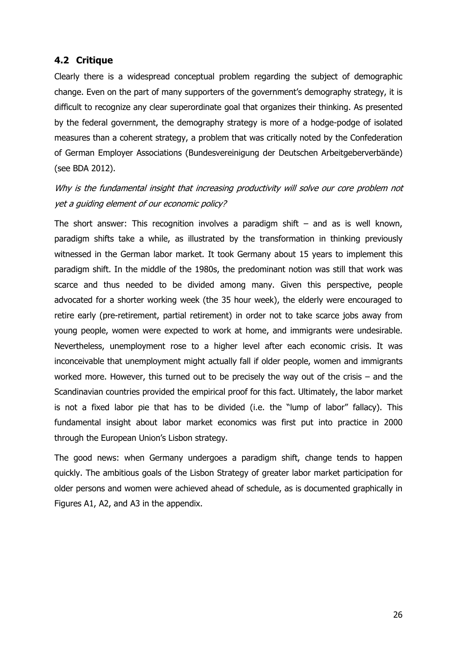## **4.2 Critique**

Clearly there is a widespread conceptual problem regarding the subject of demographic change. Even on the part of many supporters of the government's demography strategy, it is difficult to recognize any clear superordinate goal that organizes their thinking. As presented by the federal government, the demography strategy is more of a hodge-podge of isolated measures than a coherent strategy, a problem that was critically noted by the Confederation of German Employer Associations (Bundesvereinigung der Deutschen Arbeitgeberverbände) (see BDA 2012).

Why is the fundamental insight that increasing productivity will solve our core problem not yet a guiding element of our economic policy?

The short answer: This recognition involves a paradigm shift  $-$  and as is well known, paradigm shifts take a while, as illustrated by the transformation in thinking previously witnessed in the German labor market. It took Germany about 15 years to implement this paradigm shift. In the middle of the 1980s, the predominant notion was still that work was scarce and thus needed to be divided among many. Given this perspective, people advocated for a shorter working week (the 35 hour week), the elderly were encouraged to retire early (pre-retirement, partial retirement) in order not to take scarce jobs away from young people, women were expected to work at home, and immigrants were undesirable. Nevertheless, unemployment rose to a higher level after each economic crisis. It was inconceivable that unemployment might actually fall if older people, women and immigrants worked more. However, this turned out to be precisely the way out of the crisis – and the Scandinavian countries provided the empirical proof for this fact. Ultimately, the labor market is not a fixed labor pie that has to be divided (i.e. the "lump of labor" fallacy). This fundamental insight about labor market economics was first put into practice in 2000 through the European Union's Lisbon strategy.

The good news: when Germany undergoes a paradigm shift, change tends to happen quickly. The ambitious goals of the Lisbon Strategy of greater labor market participation for older persons and women were achieved ahead of schedule, as is documented graphically in Figures A1, A2, and A3 in the appendix.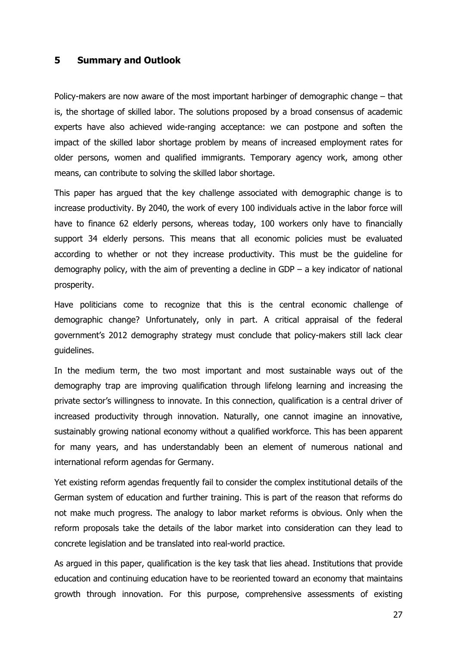#### **5 Summary and Outlook**

Policy-makers are now aware of the most important harbinger of demographic change – that is, the shortage of skilled labor. The solutions proposed by a broad consensus of academic experts have also achieved wide-ranging acceptance: we can postpone and soften the impact of the skilled labor shortage problem by means of increased employment rates for older persons, women and qualified immigrants. Temporary agency work, among other means, can contribute to solving the skilled labor shortage.

This paper has argued that the key challenge associated with demographic change is to increase productivity. By 2040, the work of every 100 individuals active in the labor force will have to finance 62 elderly persons, whereas today, 100 workers only have to financially support 34 elderly persons. This means that all economic policies must be evaluated according to whether or not they increase productivity. This must be the guideline for demography policy, with the aim of preventing a decline in GDP – a key indicator of national prosperity.

Have politicians come to recognize that this is the central economic challenge of demographic change? Unfortunately, only in part. A critical appraisal of the federal government's 2012 demography strategy must conclude that policy-makers still lack clear guidelines.

In the medium term, the two most important and most sustainable ways out of the demography trap are improving qualification through lifelong learning and increasing the private sector's willingness to innovate. In this connection, qualification is a central driver of increased productivity through innovation. Naturally, one cannot imagine an innovative, sustainably growing national economy without a qualified workforce. This has been apparent for many years, and has understandably been an element of numerous national and international reform agendas for Germany.

Yet existing reform agendas frequently fail to consider the complex institutional details of the German system of education and further training. This is part of the reason that reforms do not make much progress. The analogy to labor market reforms is obvious. Only when the reform proposals take the details of the labor market into consideration can they lead to concrete legislation and be translated into real-world practice.

As argued in this paper, qualification is the key task that lies ahead. Institutions that provide education and continuing education have to be reoriented toward an economy that maintains growth through innovation. For this purpose, comprehensive assessments of existing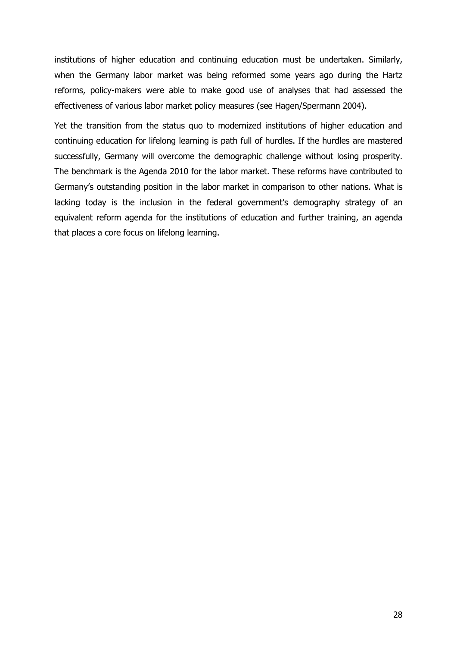institutions of higher education and continuing education must be undertaken. Similarly, when the Germany labor market was being reformed some years ago during the Hartz reforms, policy-makers were able to make good use of analyses that had assessed the effectiveness of various labor market policy measures (see Hagen/Spermann 2004).

Yet the transition from the status quo to modernized institutions of higher education and continuing education for lifelong learning is path full of hurdles. If the hurdles are mastered successfully, Germany will overcome the demographic challenge without losing prosperity. The benchmark is the Agenda 2010 for the labor market. These reforms have contributed to Germany's outstanding position in the labor market in comparison to other nations. What is lacking today is the inclusion in the federal government's demography strategy of an equivalent reform agenda for the institutions of education and further training, an agenda that places a core focus on lifelong learning.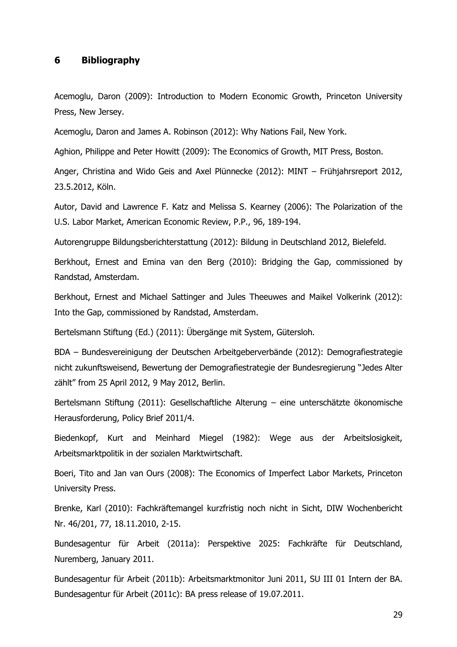#### **6 Bibliography**

Acemoglu, Daron (2009): Introduction to Modern Economic Growth, Princeton University Press, New Jersey.

Acemoglu, Daron and James A. Robinson (2012): Why Nations Fail, New York.

Aghion, Philippe and Peter Howitt (2009): The Economics of Growth, MIT Press, Boston.

Anger, Christina and Wido Geis and Axel Plünnecke (2012): MINT – Frühjahrsreport 2012, 23.5.2012, Köln.

Autor, David and Lawrence F. Katz and Melissa S. Kearney (2006): The Polarization of the U.S. Labor Market, American Economic Review, P.P., 96, 189-194.

Autorengruppe Bildungsberichterstattung (2012): Bildung in Deutschland 2012, Bielefeld.

Berkhout, Ernest and Emina van den Berg (2010): Bridging the Gap, commissioned by Randstad, Amsterdam.

Berkhout, Ernest and Michael Sattinger and Jules Theeuwes and Maikel Volkerink (2012): Into the Gap, commissioned by Randstad, Amsterdam.

Bertelsmann Stiftung (Ed.) (2011): Übergänge mit System, Gütersloh.

BDA – Bundesvereinigung der Deutschen Arbeitgeberverbände (2012): Demografiestrategie nicht zukunftsweisend, Bewertung der Demografiestrategie der Bundesregierung "Jedes Alter zählt" from 25 April 2012, 9 May 2012, Berlin.

Bertelsmann Stiftung (2011): Gesellschaftliche Alterung – eine unterschätzte ökonomische Herausforderung, Policy Brief 2011/4.

Biedenkopf, Kurt and Meinhard Miegel (1982): Wege aus der Arbeitslosigkeit, Arbeitsmarktpolitik in der sozialen Marktwirtschaft.

Boeri, Tito and Jan van Ours (2008): The Economics of Imperfect Labor Markets, Princeton University Press.

Brenke, Karl (2010): Fachkräftemangel kurzfristig noch nicht in Sicht, DIW Wochenbericht Nr. 46/201, 77, 18.11.2010, 2-15.

Bundesagentur für Arbeit (2011a): Perspektive 2025: Fachkräfte für Deutschland, Nuremberg, January 2011.

Bundesagentur für Arbeit (2011b): Arbeitsmarktmonitor Juni 2011, SU III 01 Intern der BA. Bundesagentur für Arbeit (2011c): BA press release of 19.07.2011.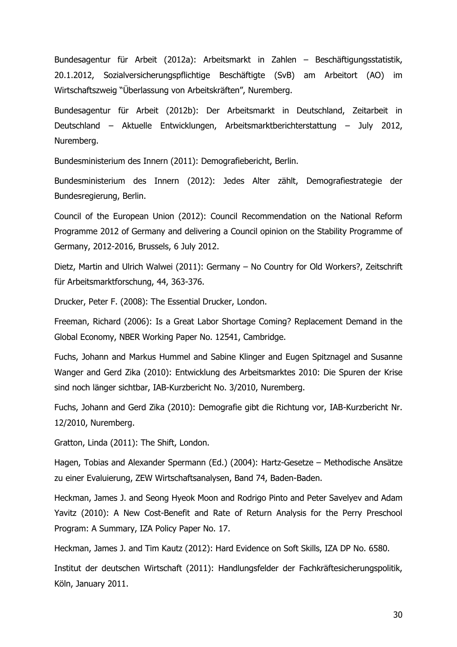Bundesagentur für Arbeit (2012a): Arbeitsmarkt in Zahlen – Beschäftigungsstatistik, 20.1.2012, Sozialversicherungspflichtige Beschäftigte (SvB) am Arbeitort (AO) im Wirtschaftszweig "Überlassung von Arbeitskräften", Nuremberg.

Bundesagentur für Arbeit (2012b): Der Arbeitsmarkt in Deutschland, Zeitarbeit in Deutschland – Aktuelle Entwicklungen, Arbeitsmarktberichterstattung – July 2012, Nuremberg.

Bundesministerium des Innern (2011): Demografiebericht, Berlin.

Bundesministerium des Innern (2012): Jedes Alter zählt, Demografiestrategie der Bundesregierung, Berlin.

Council of the European Union (2012): Council Recommendation on the National Reform Programme 2012 of Germany and delivering a Council opinion on the Stability Programme of Germany, 2012-2016, Brussels, 6 July 2012.

Dietz, Martin and Ulrich Walwei (2011): Germany – No Country for Old Workers?, Zeitschrift für Arbeitsmarktforschung, 44, 363-376.

Drucker, Peter F. (2008): The Essential Drucker, London.

Freeman, Richard (2006): Is a Great Labor Shortage Coming? Replacement Demand in the Global Economy, NBER Working Paper No. 12541, Cambridge.

Fuchs, Johann and Markus Hummel and Sabine Klinger and Eugen Spitznagel and Susanne Wanger and Gerd Zika (2010): Entwicklung des Arbeitsmarktes 2010: Die Spuren der Krise sind noch länger sichtbar, IAB-Kurzbericht No. 3/2010, Nuremberg.

Fuchs, Johann and Gerd Zika (2010): Demografie gibt die Richtung vor, IAB-Kurzbericht Nr. 12/2010, Nuremberg.

Gratton, Linda (2011): The Shift, London.

Hagen, Tobias and Alexander Spermann (Ed.) (2004): Hartz-Gesetze – Methodische Ansätze zu einer Evaluierung, ZEW Wirtschaftsanalysen, Band 74, Baden-Baden.

Heckman, James J. and Seong Hyeok Moon and Rodrigo Pinto and Peter Savelyev and Adam Yavitz (2010): A New Cost-Benefit and Rate of Return Analysis for the Perry Preschool Program: A Summary, IZA Policy Paper No. 17.

Heckman, James J. and Tim Kautz (2012): Hard Evidence on Soft Skills, IZA DP No. 6580.

Institut der deutschen Wirtschaft (2011): Handlungsfelder der Fachkräftesicherungspolitik, Köln, January 2011.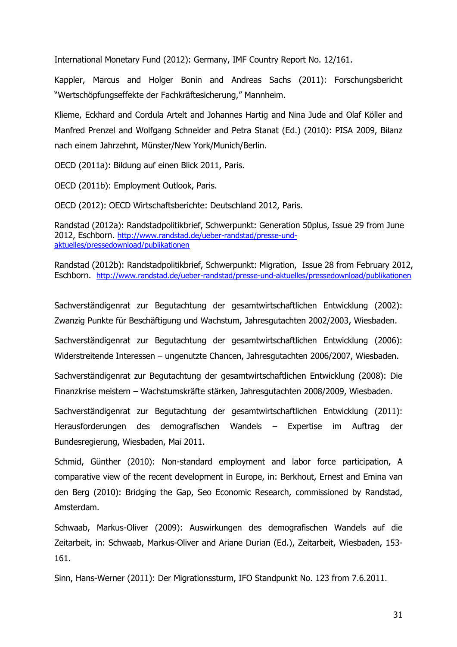International Monetary Fund (2012): Germany, IMF Country Report No. 12/161.

Kappler, Marcus and Holger Bonin and Andreas Sachs (2011): Forschungsbericht "Wertschöpfungseffekte der Fachkräftesicherung," Mannheim.

Klieme, Eckhard and Cordula Artelt and Johannes Hartig and Nina Jude and Olaf Köller and Manfred Prenzel and Wolfgang Schneider and Petra Stanat (Ed.) (2010): PISA 2009, Bilanz nach einem Jahrzehnt, Münster/New York/Munich/Berlin.

OECD (2011a): Bildung auf einen Blick 2011, Paris.

OECD (2011b): Employment Outlook, Paris.

OECD (2012): OECD Wirtschaftsberichte: Deutschland 2012, Paris.

Randstad (2012a): Randstadpolitikbrief, Schwerpunkt: Generation 50plus, Issue 29 from June 2012, Eschborn. [http://www.randstad.de/ueber-randstad/presse-und](http://www.randstad.de/ueber-randstad/presse-und-aktuelles/pressedownload/publikationen)[aktuelles/pressedownload/publikationen](http://www.randstad.de/ueber-randstad/presse-und-aktuelles/pressedownload/publikationen)

Randstad (2012b): Randstadpolitikbrief, Schwerpunkt: Migration, Issue 28 from February 2012, Eschborn. <http://www.randstad.de/ueber-randstad/presse-und-aktuelles/pressedownload/publikationen>

Sachverständigenrat zur Begutachtung der gesamtwirtschaftlichen Entwicklung (2002): Zwanzig Punkte für Beschäftigung und Wachstum, Jahresgutachten 2002/2003, Wiesbaden.

Sachverständigenrat zur Begutachtung der gesamtwirtschaftlichen Entwicklung (2006): Widerstreitende Interessen – ungenutzte Chancen, Jahresgutachten 2006/2007, Wiesbaden.

Sachverständigenrat zur Begutachtung der gesamtwirtschaftlichen Entwicklung (2008): Die Finanzkrise meistern – Wachstumskräfte stärken, Jahresgutachten 2008/2009, Wiesbaden.

Sachverständigenrat zur Begutachtung der gesamtwirtschaftlichen Entwicklung (2011): Herausforderungen des demografischen Wandels – Expertise im Auftrag der Bundesregierung, Wiesbaden, Mai 2011.

Schmid, Günther (2010): Non-standard employment and labor force participation, A comparative view of the recent development in Europe, in: Berkhout, Ernest and Emina van den Berg (2010): Bridging the Gap, Seo Economic Research, commissioned by Randstad, Amsterdam.

Schwaab, Markus-Oliver (2009): Auswirkungen des demografischen Wandels auf die Zeitarbeit, in: Schwaab, Markus-Oliver and Ariane Durian (Ed.), Zeitarbeit, Wiesbaden, 153- 161.

Sinn, Hans-Werner (2011): Der Migrationssturm, IFO Standpunkt No. 123 from 7.6.2011.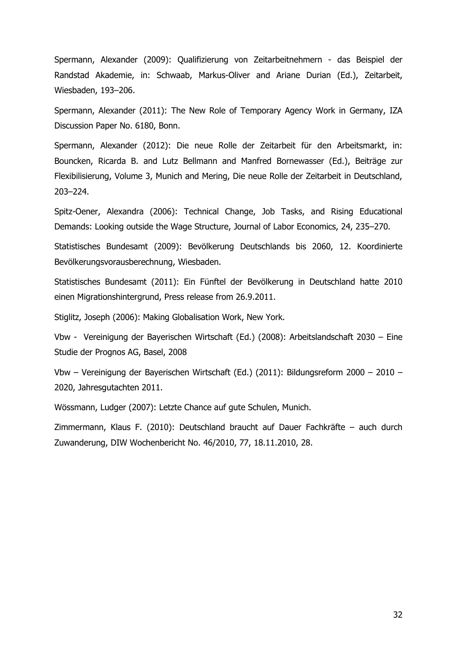Spermann, Alexander (2009): Qualifizierung von Zeitarbeitnehmern - das Beispiel der Randstad Akademie, in: Schwaab, Markus-Oliver and Ariane Durian (Ed.), Zeitarbeit, Wiesbaden, 193–206.

Spermann, Alexander (2011): The New Role of Temporary Agency Work in Germany, IZA Discussion Paper No. 6180, Bonn.

Spermann, Alexander (2012): Die neue Rolle der Zeitarbeit für den Arbeitsmarkt, in: Bouncken, Ricarda B. and Lutz Bellmann and Manfred Bornewasser (Ed.), Beiträge zur Flexibilisierung, Volume 3, Munich and Mering, Die neue Rolle der Zeitarbeit in Deutschland, 203–224.

Spitz-Oener, Alexandra (2006): Technical Change, Job Tasks, and Rising Educational Demands: Looking outside the Wage Structure, Journal of Labor Economics, 24, 235–270.

Statistisches Bundesamt (2009): Bevölkerung Deutschlands bis 2060, 12. Koordinierte Bevölkerungsvorausberechnung, Wiesbaden.

Statistisches Bundesamt (2011): Ein Fünftel der Bevölkerung in Deutschland hatte 2010 einen Migrationshintergrund, Press release from 26.9.2011.

Stiglitz, Joseph (2006): Making Globalisation Work, New York.

Vbw - Vereinigung der Bayerischen Wirtschaft (Ed.) (2008): Arbeitslandschaft 2030 – Eine Studie der Prognos AG, Basel, 2008

Vbw – Vereinigung der Bayerischen Wirtschaft (Ed.) (2011): Bildungsreform 2000 – 2010 – 2020, Jahresgutachten 2011.

Wössmann, Ludger (2007): Letzte Chance auf gute Schulen, Munich.

Zimmermann, Klaus F. (2010): Deutschland braucht auf Dauer Fachkräfte – auch durch Zuwanderung, DIW Wochenbericht No. 46/2010, 77, 18.11.2010, 28.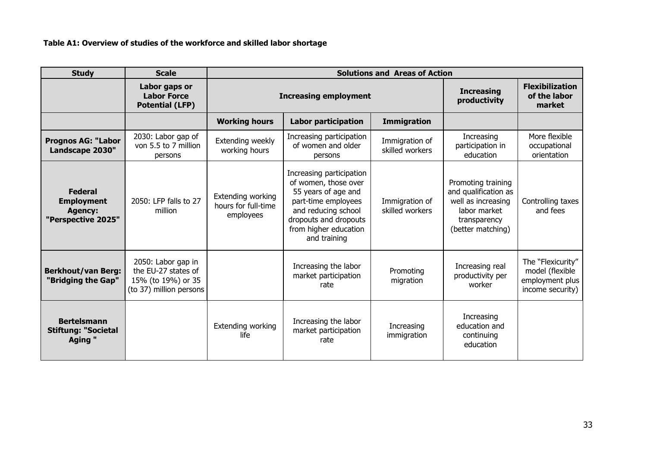#### **Table A1: Overview of studies of the workforce and skilled labor shortage**

| <b>Study</b>                                                                | <b>Scale</b>                                                                               | <b>Solutions and Areas of Action</b>                  |                                                                                                                                                                                         |                                   |                                                                                                                       |                                                                             |
|-----------------------------------------------------------------------------|--------------------------------------------------------------------------------------------|-------------------------------------------------------|-----------------------------------------------------------------------------------------------------------------------------------------------------------------------------------------|-----------------------------------|-----------------------------------------------------------------------------------------------------------------------|-----------------------------------------------------------------------------|
|                                                                             | Labor gaps or<br><b>Labor Force</b><br><b>Potential (LFP)</b>                              | <b>Increasing employment</b>                          |                                                                                                                                                                                         | <b>Increasing</b><br>productivity | <b>Flexibilization</b><br>of the labor<br>market                                                                      |                                                                             |
|                                                                             |                                                                                            | <b>Working hours</b>                                  | <b>Labor participation</b>                                                                                                                                                              | <b>Immigration</b>                |                                                                                                                       |                                                                             |
| <b>Prognos AG: "Labor</b><br>Landscape 2030"                                | 2030: Labor gap of<br>von 5.5 to 7 million<br>persons                                      | Extending weekly<br>working hours                     | Increasing participation<br>of women and older<br>persons                                                                                                                               | Immigration of<br>skilled workers | Increasing<br>participation in<br>education                                                                           | More flexible<br>occupational<br>orientation                                |
| <b>Federal</b><br><b>Employment</b><br><b>Agency:</b><br>"Perspective 2025" | 2050: LFP falls to 27<br>million                                                           | Extending working<br>hours for full-time<br>employees | Increasing participation<br>of women, those over<br>55 years of age and<br>part-time employees<br>and reducing school<br>dropouts and dropouts<br>from higher education<br>and training | Immigration of<br>skilled workers | Promoting training<br>and qualification as<br>well as increasing<br>labor market<br>transparency<br>(better matching) | Controlling taxes<br>and fees                                               |
| <b>Berkhout/van Berg:</b><br>"Bridging the Gap"                             | 2050: Labor gap in<br>the EU-27 states of<br>15% (to 19%) or 35<br>(to 37) million persons |                                                       | Increasing the labor<br>market participation<br>rate                                                                                                                                    | Promoting<br>migration            | Increasing real<br>productivity per<br>worker                                                                         | The "Flexicurity"<br>model (flexible<br>employment plus<br>income security) |
| <b>Bertelsmann</b><br><b>Stiftung: "Societal</b><br>Aging "                 |                                                                                            | Extending working<br>life                             | Increasing the labor<br>market participation<br>rate                                                                                                                                    | Increasing<br>immigration         | Increasing<br>education and<br>continuing<br>education                                                                |                                                                             |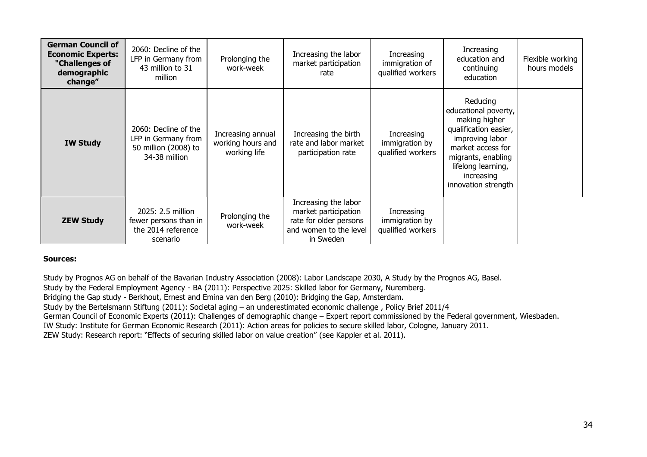| <b>German Council of</b><br><b>Economic Experts:</b><br>"Challenges of<br>demographic<br>change" | 2060: Decline of the<br>LFP in Germany from<br>43 million to 31<br>million           | Prolonging the<br>work-week                            | Increasing the labor<br>market participation<br>rate                                                          | Increasing<br>immigration of<br>qualified workers | Increasing<br>education and<br>continuing<br>education                                                                                                                                              | Flexible working<br>hours models |
|--------------------------------------------------------------------------------------------------|--------------------------------------------------------------------------------------|--------------------------------------------------------|---------------------------------------------------------------------------------------------------------------|---------------------------------------------------|-----------------------------------------------------------------------------------------------------------------------------------------------------------------------------------------------------|----------------------------------|
| <b>IW Study</b>                                                                                  | 2060: Decline of the<br>LFP in Germany from<br>50 million (2008) to<br>34-38 million | Increasing annual<br>working hours and<br>working life | Increasing the birth<br>rate and labor market<br>participation rate                                           | Increasing<br>immigration by<br>qualified workers | Reducing<br>educational poverty,<br>making higher<br>qualification easier,<br>improving labor<br>market access for<br>migrants, enabling<br>lifelong learning,<br>increasing<br>innovation strength |                                  |
| <b>ZEW Study</b>                                                                                 | 2025: 2.5 million<br>fewer persons than in<br>the 2014 reference<br>scenario         | Prolonging the<br>work-week                            | Increasing the labor<br>market participation<br>rate for older persons<br>and women to the level<br>in Sweden | Increasing<br>immigration by<br>qualified workers |                                                                                                                                                                                                     |                                  |

#### **Sources:**

Study by Prognos AG on behalf of the Bavarian Industry Association (2008): Labor Landscape 2030, A Study by the Prognos AG, Basel. Study by the Federal Employment Agency - BA (2011): Perspective 2025: Skilled labor for Germany, Nuremberg. Bridging the Gap study - Berkhout, Ernest and Emina van den Berg (2010): Bridging the Gap, Amsterdam. Study by the Bertelsmann Stiftung (2011): Societal aging – an underestimated economic challenge , Policy Brief 2011/4 German Council of Economic Experts (2011): Challenges of demographic change – Expert report commissioned by the Federal government, Wiesbaden. IW Study: Institute for German Economic Research (2011): Action areas for policies to secure skilled labor, Cologne, January 2011. ZEW Study: Research report: "Effects of securing skilled labor on value creation" (see Kappler et al. 2011).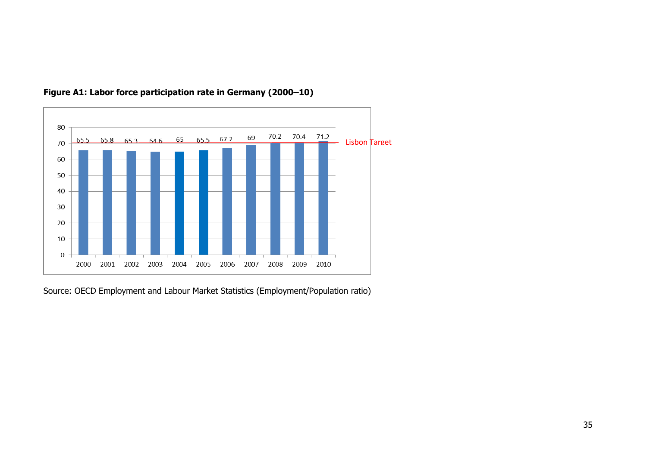

# **Figure A1: Labor force participation rate in Germany (2000–10)**

Source: OECD Employment and Labour Market Statistics (Employment/Population ratio)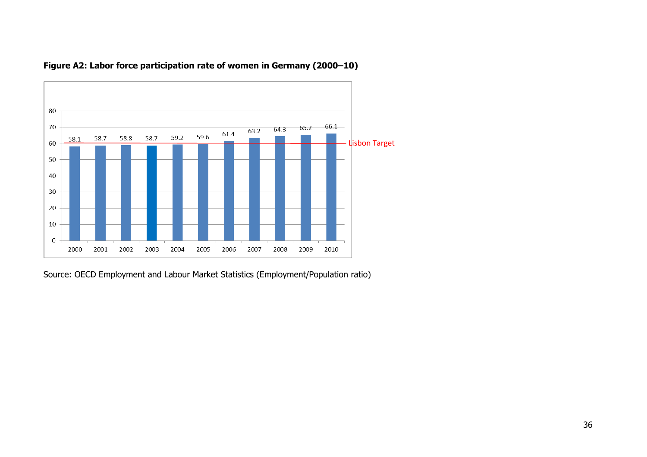



Source: OECD Employment and Labour Market Statistics (Employment/Population ratio)